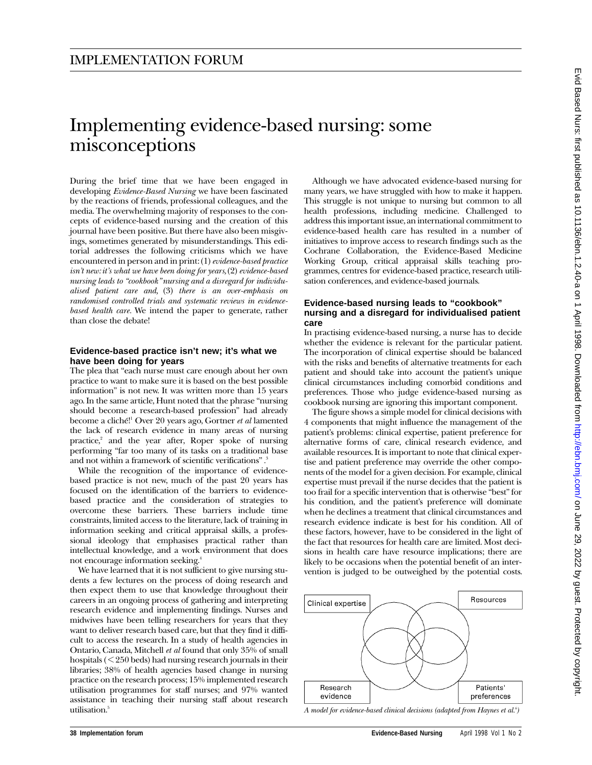# Implementing evidence-based nursing: some misconceptions

During the brief time that we have been engaged in developing *Evidence-Based Nursing* we have been fascinated by the reactions of friends, professional colleagues, and the media. The overwhelming majority of responses to the concepts of evidence-based nursing and the creation of this journal have been positive. But there have also been misgivings, sometimes generated by misunderstandings. This editorial addresses the following criticisms which we have encountered in person and in print: (1) *evidence-based practice isn't new: it's what we have been doing for years,*(2) *evidence-based nursing leads to "cookbook" nursing and a disregard for individualised patient care and,* (3) *there is an over-emphasis on randomised controlled trials and systematic reviews in evidencebased health care.* We intend the paper to generate, rather than close the debate!

## **Evidence-based practice isn't new; it's what we have been doing for years**

The plea that "each nurse must care enough about her own practice to want to make sure it is based on the best possible information" is not new. It was written more than 15 years ago. In the same article, Hunt noted that the phrase "nursing should become a research-based profession" had already become a cliché!1 Over 20 years ago, Gortner *et al* lamented the lack of research evidence in many areas of nursing practice,<sup>2</sup> and the year after, Roper spoke of nursing performing "far too many of its tasks on a traditional base and not within a framework of scientific verifications" *.* 3

While the recognition of the importance of evidencebased practice is not new, much of the past 20 years has focused on the identification of the barriers to evidencebased practice and the consideration of strategies to overcome these barriers. These barriers include time constraints, limited access to the literature, lack of training in information seeking and critical appraisal skills, a professional ideology that emphasises practical rather than intellectual knowledge, and a work environment that does not encourage information seeking.4

We have learned that it is not sufficient to give nursing students a few lectures on the process of doing research and then expect them to use that knowledge throughout their careers in an ongoing process of gathering and interpreting research evidence and implementing findings. Nurses and midwives have been telling researchers for years that they want to deliver research based care, but that they find it difficult to access the research. In a study of health agencies in Ontario, Canada, Mitchell *et al* found that only 35% of small hospitals  $(< 250$  beds) had nursing research journals in their libraries; 38% of health agencies based change in nursing practice on the research process; 15% implemented research utilisation programmes for staff nurses; and 97% wanted assistance in teaching their nursing staff about research utilisation.<sup>5</sup>

Although we have advocated evidence-based nursing for many years, we have struggled with how to make it happen. This struggle is not unique to nursing but common to all health professions, including medicine. Challenged to address this important issue, an international commitment to evidence-based health care has resulted in a number of initiatives to improve access to research findings such as the Cochrane Collaboration, the Evidence-Based Medicine Working Group, critical appraisal skills teaching programmes, centres for evidence-based practice, research utilisation conferences, and evidence-based journals.

## **Evidence-based nursing leads to "cookbook" nursing and a disregard for individualised patient care**

In practising evidence-based nursing, a nurse has to decide whether the evidence is relevant for the particular patient. The incorporation of clinical expertise should be balanced with the risks and benefits of alternative treatments for each patient and should take into account the patient's unique clinical circumstances including comorbid conditions and preferences. Those who judge evidence-based nursing as cookbook nursing are ignoring this important component.

The figure shows a simple model for clinical decisions with 4 components that might influence the management of the patient's problems: clinical expertise, patient preference for alternative forms of care, clinical research evidence, and available resources. It is important to note that clinical expertise and patient preference may override the other components of the model for a given decision. For example, clinical expertise must prevail if the nurse decides that the patient is too frail for a specific intervention that is otherwise "best" for his condition, and the patient's preference will dominate when he declines a treatment that clinical circumstances and research evidence indicate is best for his condition. All of these factors, however, have to be considered in the light of the fact that resources for health care are limited. Most decisions in health care have resource implications; there are likely to be occasions when the potential benefit of an intervention is judged to be outweighed by the potential costs.



*A model for evidence-based clinical decisions (adapted from Haynes et al.6 )*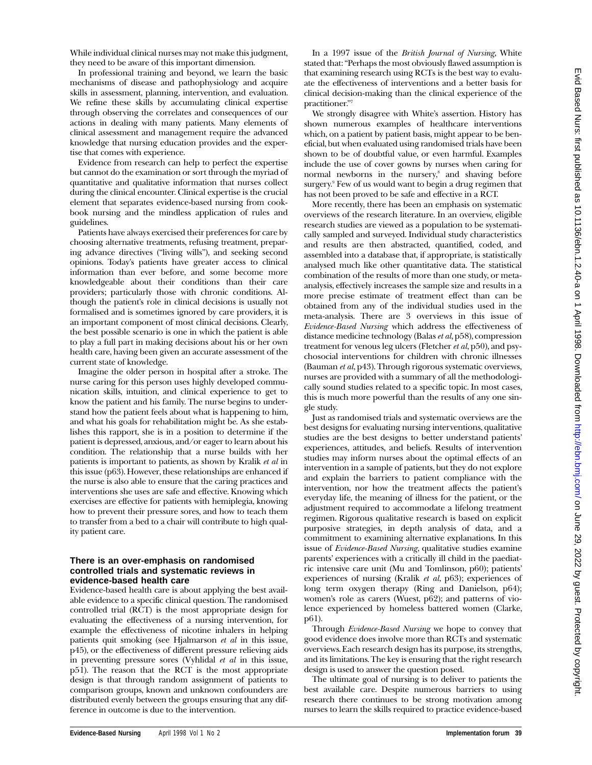While individual clinical nurses may not make this judgment, they need to be aware of this important dimension.

In professional training and beyond, we learn the basic mechanisms of disease and pathophysiology and acquire skills in assessment, planning, intervention, and evaluation. We refine these skills by accumulating clinical expertise through observing the correlates and consequences of our actions in dealing with many patients. Many elements of clinical assessment and management require the advanced knowledge that nursing education provides and the expertise that comes with experience.

Evidence from research can help to perfect the expertise but cannot do the examination or sort through the myriad of quantitative and qualitative information that nurses collect during the clinical encounter. Clinical expertise is the crucial element that separates evidence-based nursing from cookbook nursing and the mindless application of rules and guidelines.

Patients have always exercised their preferences for care by choosing alternative treatments, refusing treatment, preparing advance directives ("living wills"), and seeking second opinions. Today's patients have greater access to clinical information than ever before, and some become more knowledgeable about their conditions than their care providers; particularly those with chronic conditions. Although the patient's role in clinical decisions is usually not formalised and is sometimes ignored by care providers, it is an important component of most clinical decisions. Clearly, the best possible scenario is one in which the patient is able to play a full part in making decisions about his or her own health care, having been given an accurate assessment of the current state of knowledge.

Imagine the older person in hospital after a stroke. The nurse caring for this person uses highly developed communication skills, intuition, and clinical experience to get to know the patient and his family. The nurse begins to understand how the patient feels about what is happening to him, and what his goals for rehabilitation might be. As she establishes this rapport, she is in a position to determine if the patient is depressed, anxious, and/or eager to learn about his condition. The relationship that a nurse builds with her patients is important to patients, as shown by Kralik *et al* in this issue (p63). However, these relationships are enhanced if the nurse is also able to ensure that the caring practices and interventions she uses are safe and effective. Knowing which exercises are effective for patients with hemiplegia, knowing how to prevent their pressure sores, and how to teach them to transfer from a bed to a chair will contribute to high quality patient care.

### **There is an over-emphasis on randomised controlled trials and systematic reviews in evidence-based health care**

Evidence-based health care is about applying the best available evidence to a specific clinical question. The randomised controlled trial (RCT) is the most appropriate design for evaluating the effectiveness of a nursing intervention, for example the effectiveness of nicotine inhalers in helping patients quit smoking (see Hjalmarson *et al* in this issue, p45), or the effectiveness of different pressure relieving aids in preventing pressure sores (Vyhlidal *et al* in this issue, p51). The reason that the RCT is the most appropriate design is that through random assignment of patients to comparison groups, known and unknown confounders are distributed evenly between the groups ensuring that any difference in outcome is due to the intervention.

In a 1997 issue of the *British Journal of Nursing*, White stated that: "Perhaps the most obviously flawed assumption is that examining research using RCTs is the best way to evaluate the effectiveness of interventions and a better basis for clinical decision-making than the clinical experience of the practitioner."7

We strongly disagree with White's assertion. History has shown numerous examples of healthcare interventions which, on a patient by patient basis, might appear to be beneficial, but when evaluated using randomised trials have been shown to be of doubtful value, or even harmful. Examples include the use of cover gowns by nurses when caring for normal newborns in the nursery,<sup>8</sup> and shaving before surgery.<sup>9</sup> Few of us would want to begin a drug regimen that has not been proved to be safe and effective in a RCT.

More recently, there has been an emphasis on systematic overviews of the research literature. In an overview, eligible research studies are viewed as a population to be systematically sampled and surveyed. Individual study characteristics and results are then abstracted, quantified, coded, and assembled into a database that, if appropriate, is statistically analysed much like other quantitative data. The statistical combination of the results of more than one study, or metaanalysis, effectively increases the sample size and results in a more precise estimate of treatment effect than can be obtained from any of the individual studies used in the meta-analysis. There are 3 overviews in this issue of *Evidence-Based Nursing* which address the effectiveness of distance medicine technology (Balas *et al*, p58), compression treatment for venous leg ulcers (Fletcher *et al*, p50), and psychosocial interventions for children with chronic illnesses (Bauman *et al*, p43). Through rigorous systematic overviews, nurses are provided with a summary of all the methodologically sound studies related to a specific topic. In most cases, this is much more powerful than the results of any one single study.

Just as randomised trials and systematic overviews are the best designs for evaluating nursing interventions, qualitative studies are the best designs to better understand patients' experiences, attitudes, and beliefs. Results of intervention studies may inform nurses about the optimal effects of an intervention in a sample of patients, but they do not explore and explain the barriers to patient compliance with the intervention, nor how the treatment affects the patient's everyday life, the meaning of illness for the patient, or the adjustment required to accommodate a lifelong treatment regimen. Rigorous qualitative research is based on explicit purposive strategies, in depth analysis of data, and a commitment to examining alternative explanations. In this issue of *Evidence-Based Nursing*, qualitative studies examine parents' experiences with a critically ill child in the paediatric intensive care unit (Mu and Tomlinson, p60); patients' experiences of nursing (Kralik *et al*, p63); experiences of long term oxygen therapy (Ring and Danielson, p64); women's role as carers (Wuest, p62); and patterns of violence experienced by homeless battered women (Clarke, p61).

Through *Evidence-Based Nursing* we hope to convey that good evidence does involve more than RCTs and systematic overviews. Each research design has its purpose, its strengths, and its limitations. The key is ensuring that the right research design is used to answer the question posed.

The ultimate goal of nursing is to deliver to patients the best available care. Despite numerous barriers to using research there continues to be strong motivation among nurses to learn the skills required to practice evidence-based